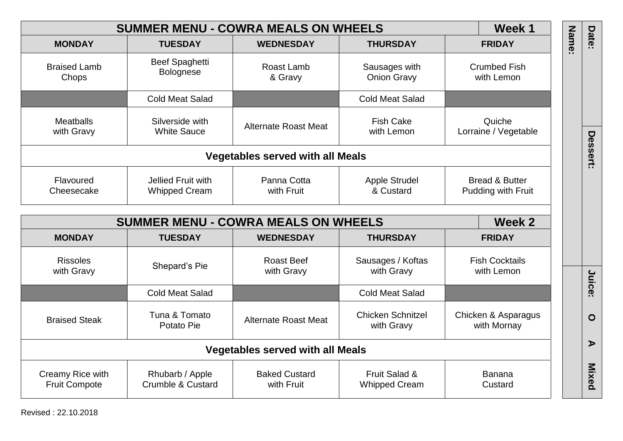|       | Week 1                                          |                                        | <b>SUMMER MENU - COWRA MEALS ON WHEELS</b> |                                                 |                                          |
|-------|-------------------------------------------------|----------------------------------------|--------------------------------------------|-------------------------------------------------|------------------------------------------|
| Name: | <b>FRIDAY</b>                                   | <b>THURSDAY</b>                        | <b>WEDNESDAY</b>                           | <b>TUESDAY</b>                                  | <b>MONDAY</b>                            |
|       | <b>Crumbed Fish</b><br>with Lemon               | Sausages with<br><b>Onion Gravy</b>    | Roast Lamb<br>& Gravy                      | <b>Beef Spaghetti</b><br><b>Bolognese</b>       | <b>Braised Lamb</b><br>Chops             |
|       |                                                 | <b>Cold Meat Salad</b>                 |                                            | <b>Cold Meat Salad</b>                          |                                          |
|       | Quiche<br>Lorraine / Vegetable                  | <b>Fish Cake</b><br>with Lemon         | Alternate Roast Meat                       | Silverside with<br><b>White Sauce</b>           | <b>Meatballs</b><br>with Gravy           |
|       |                                                 |                                        | <b>Vegetables served with all Meals</b>    |                                                 |                                          |
|       | <b>Bread &amp; Butter</b><br>Pudding with Fruit | Apple Strudel<br>& Custard             | Panna Cotta<br>with Fruit                  | Jellied Fruit with<br><b>Whipped Cream</b>      | Flavoured<br>Cheesecake                  |
|       | Week 2                                          |                                        | <b>SUMMER MENU - COWRA MEALS ON WHEELS</b> |                                                 |                                          |
|       | <b>FRIDAY</b>                                   | <b>THURSDAY</b>                        | <b>WEDNESDAY</b>                           | <b>TUESDAY</b>                                  | <b>MONDAY</b>                            |
|       | <b>Fish Cocktails</b><br>with Lemon             | Sausages / Koftas<br>with Gravy        | <b>Roast Beef</b><br>with Gravy            | Shepard's Pie                                   | <b>Rissoles</b><br>with Gravy            |
|       |                                                 | <b>Cold Meat Salad</b>                 |                                            | <b>Cold Meat Salad</b>                          |                                          |
|       | Chicken & Asparagus<br>with Mornay              | <b>Chicken Schnitzel</b><br>with Gravy | <b>Alternate Roast Meat</b>                | Tuna & Tomato<br>Potato Pie                     | <b>Braised Steak</b>                     |
|       |                                                 |                                        | <b>Vegetables served with all Meals</b>    |                                                 |                                          |
|       | Banana<br>Custard                               | Fruit Salad &<br><b>Whipped Cream</b>  | <b>Baked Custard</b><br>with Fruit         | Rhubarb / Apple<br><b>Crumble &amp; Custard</b> | Creamy Rice with<br><b>Fruit Compote</b> |